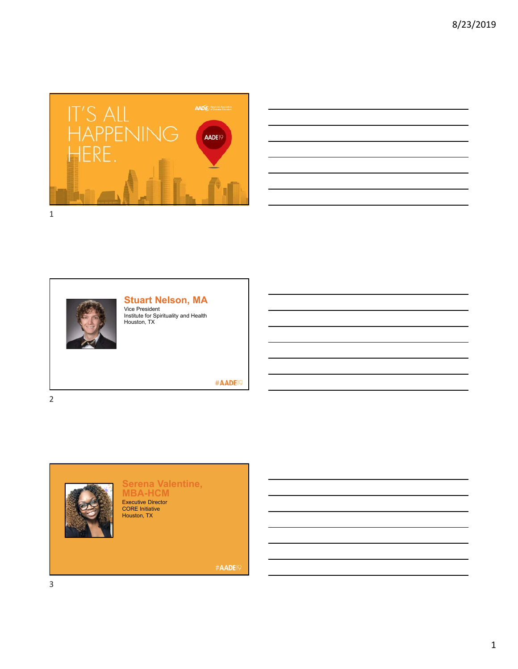

| and the contract of the contract of the contract of the contract of the contract of the contract of the contract of                                                  |  |                   |
|----------------------------------------------------------------------------------------------------------------------------------------------------------------------|--|-------------------|
|                                                                                                                                                                      |  |                   |
| ,我们也不会有一个人的事情。""我们的人们,我们也不会有一个人的人,我们也不会有一个人的人,我们也不会有一个人的人,我们也不会有一个人的人,我们也不会有一个人的<br>第一百一十一章 我们的人,我们的人们的人们,我们的人们的人们的人们,我们的人们的人们的人们,我们的人们的人们,我们的人们的人们,我们的人们的人们,我们的人们的人 |  | <b>STATISTICS</b> |
|                                                                                                                                                                      |  |                   |
|                                                                                                                                                                      |  |                   |
|                                                                                                                                                                      |  | ___               |
| ,我们也不会有一个人的事情。""我们的人们,我们也不会有一个人的人,我们也不会有一个人的人,我们也不会有一个人的人,我们也不会有一个人的人,我们也不会有一个人的<br>第一百一十一章 我们的人,我们的人们的人们,我们的人们的人们的人们,我们的人们的人们的人们,我们的人们的人们,我们的人们的人们,我们的人们的人们,我们的人们的人 |  |                   |
|                                                                                                                                                                      |  |                   |



2

### **Stuart Nelson, MA**

Vice President Institute for Spirituality and Health Houston, TX

#AADE<sup>19</sup>



#### **Serena Valentine, MBA-HCM** Executive Director CORE Initiative Houston, TX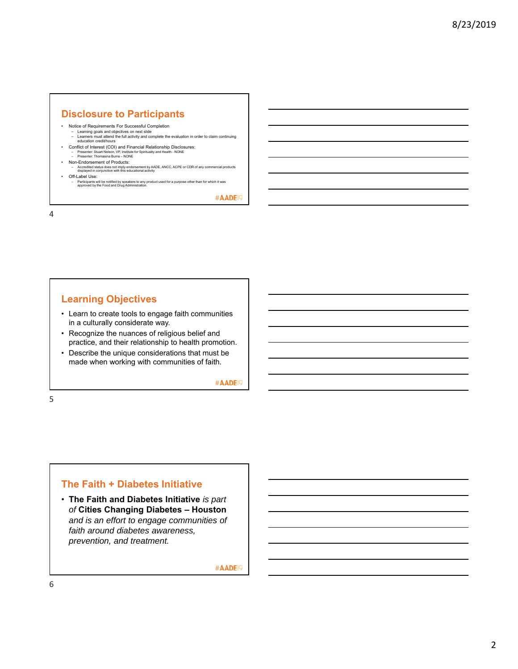# **Disclosure to Participants**

- 
- Notice of Requirements For Successful Completion Learning goals and objectives on next slide Learners must attend the full activity and complete the evaluation in order to claim continuing education credit/hours
- Conflict of Interest (COI) and Financial Relationship Disclosures:<br>- Presenter: Stuart Nelson. VP. Institute for Spirituality and Health NONE – Presenter: Stuart Nelson, VP, Institute for Spirituality and Health - NONE – Presenter: Thomasina Burns – NONE
	-
- Non-Endorsement of Products: Accredited status does not imply endorsement by AADE, ANCC, ACPE or CDR of any commercial products displayed in conjunction with this educational activity
- Off-Label Use:
	- Participants will be notified by speakers to any product used for a purpose other than for which it was approved by the Food and Drug Administration.

#AADE<sup>19</sup>

4

## **Learning Objectives**

- Learn to create tools to engage faith communities in a culturally considerate way.
- Recognize the nuances of religious belief and practice, and their relationship to health promotion.
- Describe the unique considerations that must be made when working with communities of faith.

#AADE<sup>19</sup>

5

#### **The Faith + Diabetes Initiative**

• **The Faith and Diabetes Initiative** *is part of* **Cities Changing Diabetes – Houston**  *and is an effort to engage communities of faith around diabetes awareness, prevention, and treatment.*

#AADE<sup>19</sup>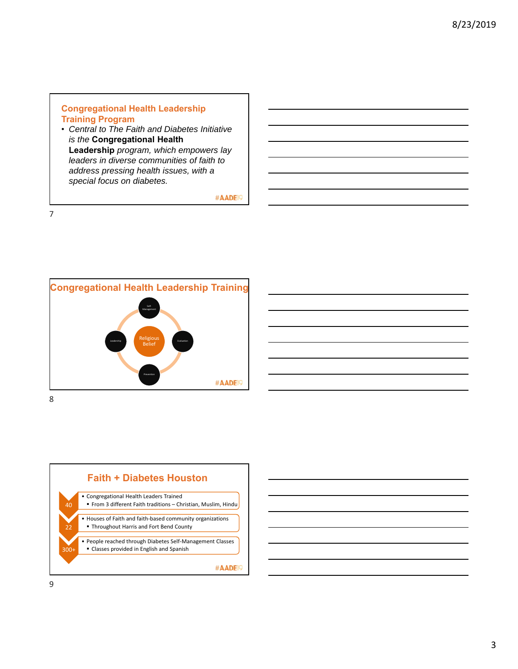### **Congregational Health Leadership Training Program**

• *Central to The Faith and Diabetes Initiative is the* **Congregational Health Leadership** *program, which empowers lay leaders in diverse communities of faith to address pressing health issues, with a special focus on diabetes.*

#AADE<sup>19</sup>



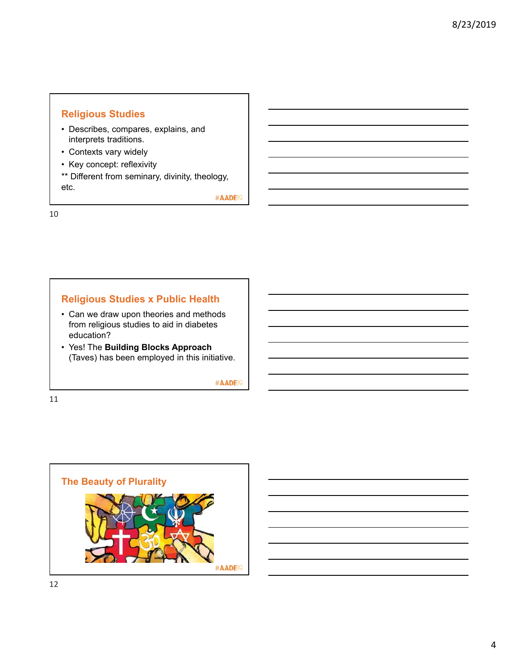# **Religious Studies**

- Describes, compares, explains, and interprets traditions.
- Contexts vary widely
- Key concept: reflexivity
- \*\* Different from seminary, divinity, theology, etc.

#AADE<sup>19</sup>

10

# **Religious Studies x Public Health**

- Can we draw upon theories and methods from religious studies to aid in diabetes education?
- Yes! The **Building Blocks Approach**  (Taves) has been employed in this initiative.

#AADE<sup>19</sup>

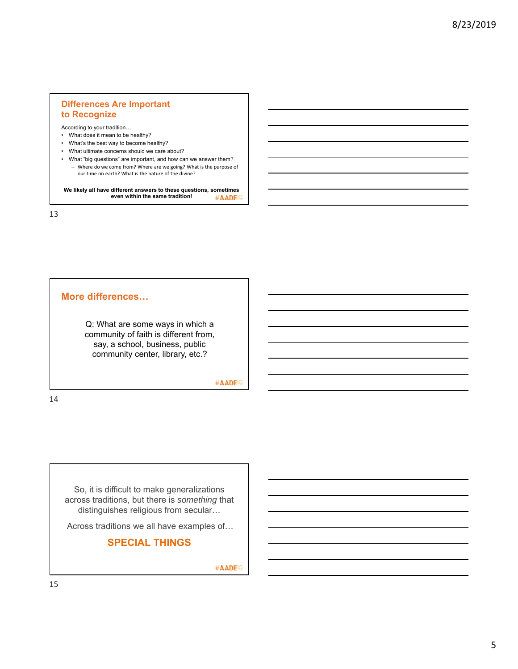### **Differences Are Important to Recognize**

According to your tradition…

- What does it mean to be healthy?
- What's the best way to become healthy?
- What ultimate concerns should we care about?
- What "big questions" are important, and how can we answer them? – Where do we come from? Where are we going? What is the purpose of our time on earth? What is the nature of the divine?

**We likely all have different answers to these questions, sometimes even within the same tradition!** #AADE<sup>19</sup>

13

#### **More differences…**

Q: What are some ways in which a community of faith is different from, say, a school, business, public community center, library, etc.?

#AADE<sup>19</sup>

14

So, it is difficult to make generalizations across traditions, but there is *something* that distinguishes religious from secular…

Across traditions we all have examples of…

**SPECIAL THINGS**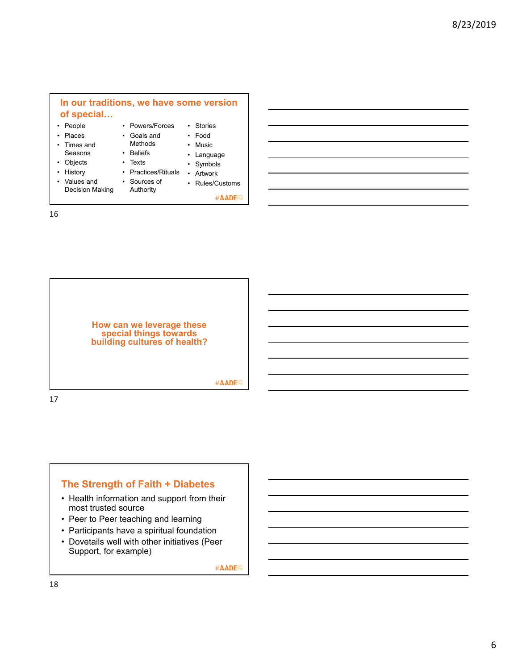#### • People • Places • Times and Seasons • Objects • History • Values and • Powers/Forces • Goals and Methods • Beliefs • Texts • Practices/Rituals • Artwork • Stories • Food • Music • Language • Symbols **In our traditions, we have some version of special…**

- 16
- Decision Making • Sources of Authority
- Rules/Customs

#AADE<sup>19</sup>

**How can we leverage these special things towards building cultures of health?** #AADE<sup>19</sup> 17

**The Strength of Faith + Diabetes**

- Health information and support from their most trusted source
- Peer to Peer teaching and learning
- Participants have a spiritual foundation
- Dovetails well with other initiatives (Peer Support, for example)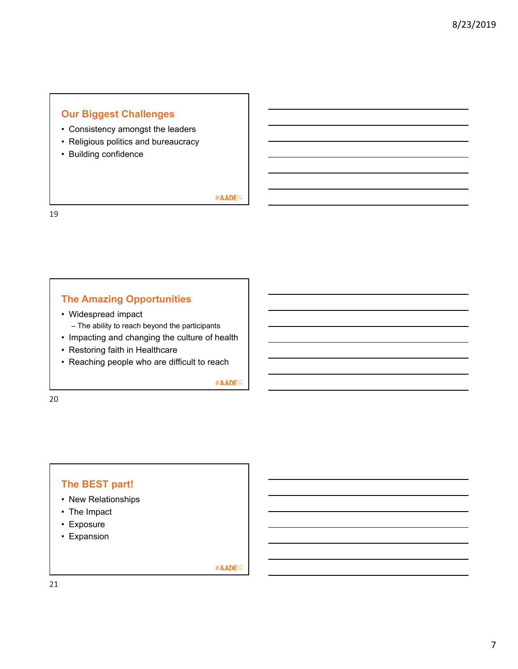# **Our Biggest Challenges**

- Consistency amongst the leaders
- Religious politics and bureaucracy
- Building confidence

#AADE<sup>19</sup>

19

# **The Amazing Opportunities**

- Widespread impact
	- The ability to reach beyond the participants
- Impacting and changing the culture of health
- Restoring faith in Healthcare
- Reaching people who are difficult to reach

#AADE<sup>19</sup>

20

# **The BEST part!**

- New Relationships
- The Impact
- Exposure
- Expansion